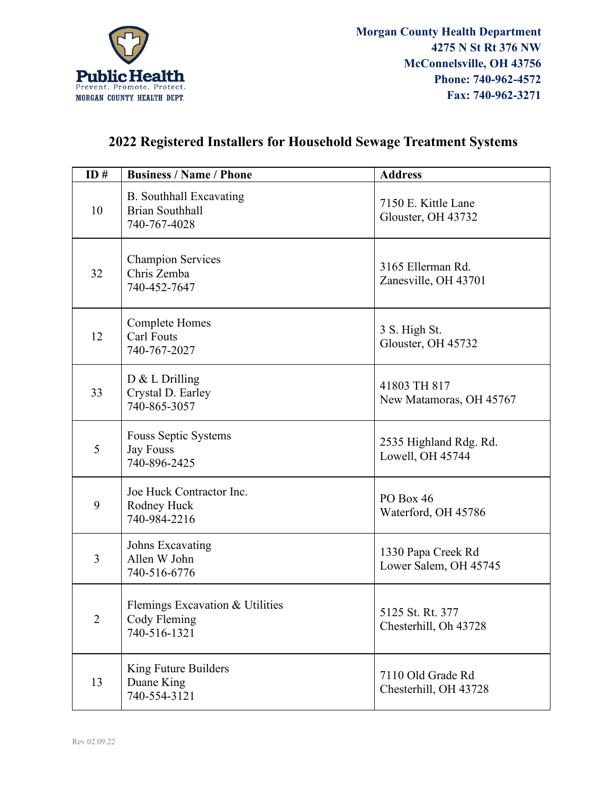

## **2022 Registered Installers for Household Sewage Treatment Systems**

| ID# | <b>Business / Name / Phone</b>                                           | <b>Address</b>                              |
|-----|--------------------------------------------------------------------------|---------------------------------------------|
| 10  | <b>B.</b> Southhall Excavating<br><b>Brian Southhall</b><br>740-767-4028 | 7150 E. Kittle Lane<br>Glouster, OH 43732   |
| 32  | <b>Champion Services</b><br>Chris Zemba<br>740-452-7647                  | 3165 Ellerman Rd.<br>Zanesville, OH 43701   |
| 12  | <b>Complete Homes</b><br>Carl Fouts<br>740-767-2027                      | 3 S. High St.<br>Glouster, OH 45732         |
| 33  | $D & L$ Drilling<br>Crystal D. Earley<br>740-865-3057                    | 41803 TH 817<br>New Matamoras, OH 45767     |
| 5   | Fouss Septic Systems<br><b>Jay Fouss</b><br>740-896-2425                 | 2535 Highland Rdg. Rd.<br>Lowell, OH 45744  |
| 9   | Joe Huck Contractor Inc.<br>Rodney Huck<br>740-984-2216                  | PO Box 46<br>Waterford, OH 45786            |
| 3   | Johns Excavating<br>Allen W John<br>740-516-6776                         | 1330 Papa Creek Rd<br>Lower Salem, OH 45745 |
| 2   | Flemings Excavation & Utilities<br>Cody Fleming<br>740-516-1321          | 5125 St. Rt. 377<br>Chesterhill, Oh 43728   |
| 13  | King Future Builders<br>Duane King<br>740-554-3121                       | 7110 Old Grade Rd<br>Chesterhill, OH 43728  |